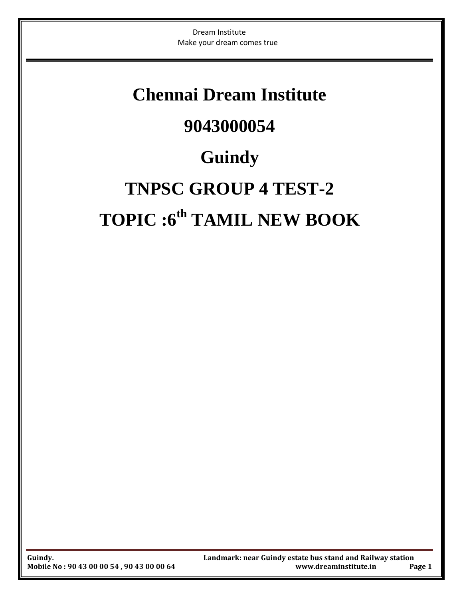### **Chennai Dream Institute 9043000054**

## **Guindy**

# **TNPSC GROUP 4 TEST-2 TOPIC :6 th TAMIL NEW BOOK**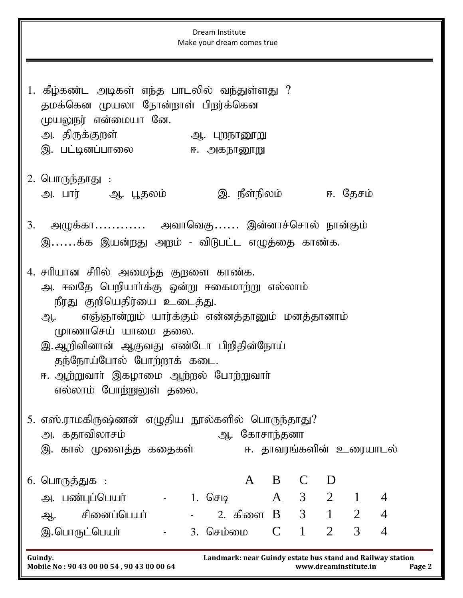| Dream Institute<br>Make your dream comes true                                                                                                                                                                                                                                                                                                |  |  |  |  |  |  |  |  |  |  |  |
|----------------------------------------------------------------------------------------------------------------------------------------------------------------------------------------------------------------------------------------------------------------------------------------------------------------------------------------------|--|--|--|--|--|--|--|--|--|--|--|
| 1. கீழ்கண்ட அடிகள் எந்த பாடலில் வந்துள்ளது ?<br>தமக்கென முயலா நோன்றாள் பிறர்க்கென<br>முயலுநர் என்மையா னே.<br>அ. திருக்குறள்<br>ஆ. புறநானூறு<br>இ. பட்டினப்பாலை<br>ஈ. அகநானூறு                                                                                                                                                                |  |  |  |  |  |  |  |  |  |  |  |
| 2. பொருந்தாது :<br>இ. நீள்நிலம்           ஈ. தேசம்<br>அ. பார்       ஆ. பூதலம்                                                                                                                                                                                                                                                                |  |  |  |  |  |  |  |  |  |  |  |
| 3. அழுக்கா அவாவெகு இன்னாச்சொல் நான்கும்<br>இக்க இயன்றது அறம் - விடுபட்ட எழுத்தை காண்க.                                                                                                                                                                                                                                                       |  |  |  |  |  |  |  |  |  |  |  |
| 4. சரியான சீரில் அமைந்த குறளை காண்க.<br>அ. ஈவதே பெறியாா்க்கு ஒன்று ஈகைமாற்று எல்லாம்<br>நீரது குறியெதிர்யை உடைத்து.<br>எஞ்ஞான்றும் யார்க்கும் என்னத்தானும் மனத்தானாம்<br>ஆ.<br>முாணாசெய் யாமை தலை.<br>இ.ஆறிவினான் ஆகுவது எண்டோ பிறிதின்நோய்<br>தந்நோய்போல் போற்றாக் கடை.<br>ஈ. ஆற்றுவாா் இகழாமை ஆற்றல் போற்றுவாா்<br>எல்லாம் போற்றுலுள் தலை. |  |  |  |  |  |  |  |  |  |  |  |
| 5. எஸ்.ராமகிருஷ்ணன் எழுதிய நூல்களில் பொருந்தாது?<br>அ. கதாவிலாசம்<br>ஆ. கோசாந்தனா<br>இ. கால் முளைத்த கதைகள்<br>ஈ. தாவரங்களின் உரையாடல்                                                                                                                                                                                                       |  |  |  |  |  |  |  |  |  |  |  |
| $\mathbf{A}$<br>B<br>$\mathsf{C}$<br>D<br>6. பொருத்துக :                                                                                                                                                                                                                                                                                     |  |  |  |  |  |  |  |  |  |  |  |
| A 3 2<br>$\overline{1}$<br>அ. பண்புப்பெயர்<br>- 1. செடி<br>$\overline{4}$                                                                                                                                                                                                                                                                    |  |  |  |  |  |  |  |  |  |  |  |
| 2. கிளை B 3 1<br>$\overline{2}$<br>ஆ. சினைப்பெயர்<br>$\overline{4}$<br>$\frac{1}{2}$ and $\frac{1}{2}$ .                                                                                                                                                                                                                                     |  |  |  |  |  |  |  |  |  |  |  |
| 3<br>$C \quad 1$<br>$\overline{2}$<br>4<br>இ. பொருட்பெயர்<br>3. செம்மை<br>$\omega_{\rm{max}}$                                                                                                                                                                                                                                                |  |  |  |  |  |  |  |  |  |  |  |
| Landmark: near Guindy estate bus stand and Railway station<br>Guindy.<br>Mobile No: 90 43 00 00 54, 90 43 00 00 64<br>www.dreaminstitute.in<br>Page 2                                                                                                                                                                                        |  |  |  |  |  |  |  |  |  |  |  |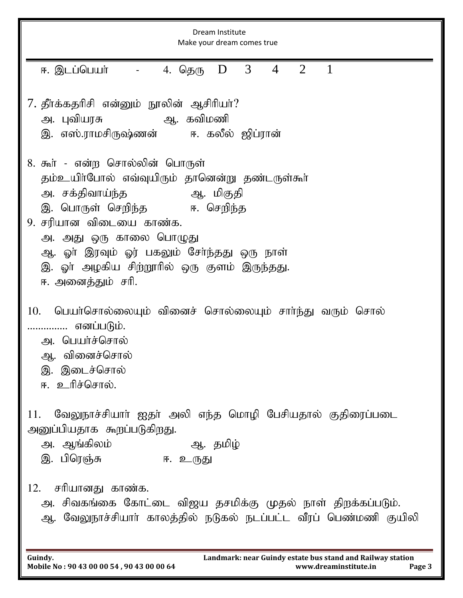| Dream Institute<br>Make your dream comes true                                                                                                                                                                                                                                                                               |  |  |  |  |  |  |  |  |
|-----------------------------------------------------------------------------------------------------------------------------------------------------------------------------------------------------------------------------------------------------------------------------------------------------------------------------|--|--|--|--|--|--|--|--|
| $\mathbf{1}$<br>3 <sup>7</sup><br>$\overline{4}$<br>2<br>ஈ. இடப்பெயர்<br>- 4. தெரு <b>D</b>                                                                                                                                                                                                                                 |  |  |  |  |  |  |  |  |
| 7. தீா்க்கதரிசி என்னும் நூலின் ஆசிரியா்?<br>அ. புவியரசு<br>ஆ. கவிமணி<br>இ. எஸ்.ராமசிருஷ்ணன்     ஈ. கலீல் ஜிப்ரான்                                                                                                                                                                                                           |  |  |  |  |  |  |  |  |
| 8. கூர் - என்ற சொல்லின் பொருள்<br>தம்உயிா்போல் எவ்வுயிரும் தானென்று தண்டருள்கூா்<br>அ. சக்திவாய்ந்த<br>ஆ. மிகுதி<br>இ. பொருள் செறிந்த     ஈ. செறிந்த<br>9. சரியான விடையை காண்க.<br>அ. அது ஒரு காலை பொழுது<br>ஆ. ஓா் இரவும் ஓர் பகலும் சோ்ந்தது ஒரு நாள்<br>இ. ஓா் அழகிய சிற்றூரில் ஒரு குளம் இருந்தது.<br>ஈ. அனைத்தும் சரி. |  |  |  |  |  |  |  |  |
| பெயா்சொல்லையும் வினைச் சொல்லையும் சாா்ந்து வரும் சொல்<br>10.<br>எனப்படும்.<br>அ. பெயர்ச்சொல்<br>ஆ. வினைச்சொல்<br>இ. இடைச்சொல்<br>ஈ. உரிச்சொல்.                                                                                                                                                                              |  |  |  |  |  |  |  |  |
| வேலுநாச்சியாா் ஐதா் அலி எந்த மொழி பேசியதால் குதிரைப்படை<br>11.<br>அனுப்பியதாக கூறப்படுகிறது.<br>அ. ஆங்கிலம்<br>ஆ. தமிழ்<br>இ. பிரெஞ்சு<br>ஈ. உருது                                                                                                                                                                          |  |  |  |  |  |  |  |  |
| சரியானது காண்க.<br>12.<br>அ. சிவகங்கை கோட்டை விஜய தசமிக்கு முதல் நாள் திறக்கப்படும்.<br>ஆ. வேலுநாச்சியாா் காலத்தில் நடுகல் நடப்பட்ட வீரப் பெண்மணி குயிலி                                                                                                                                                                    |  |  |  |  |  |  |  |  |

**Guindy. Landmark: near Guindy estate bus stand and Railway station Mobile No : 90 43 00 00 54 , 90 43 00 00 64 www.dreaminstitute.in Page 3**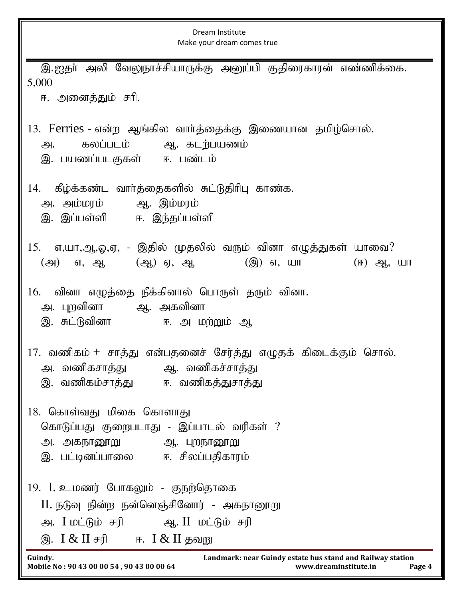| Dream Institute<br>Make your dream comes true                                                                                                                 |  |  |  |  |  |  |  |
|---------------------------------------------------------------------------------------------------------------------------------------------------------------|--|--|--|--|--|--|--|
| இ.ஐதா் அலி வேலுநாச்சியாருக்கு அனுப்பி குதிரைகாரன் எண்ணிக்கை.<br>5,000<br>ஈ. அனைத்தும் சரி.                                                                    |  |  |  |  |  |  |  |
| 13. Ferries - என்ற ஆங்கில வார்த்தைக்கு இணையான தமிழ்சொல்.<br>கலப்படம் ஆ. கடற்பயணம்<br>அ.<br>இ. பயணப்படகுகள் – ஈ. பண்டம்                                        |  |  |  |  |  |  |  |
| கீழ்க்கண்ட வார்த்தைகளில் சுட்டுதிரிபு காண்க.<br>14.<br>அ. அம்மரம் ஆ. இம்மரம்<br>இ. இப்பள்ளி ஈ. இந்தப்பள்ளி                                                    |  |  |  |  |  |  |  |
| எ,யா,ஆ,ஓ,ஏ, - இதில் முதலில் வரும் வினா எழுத்துகள் யாவை?<br>15.<br>(அ) எ, ஆ (ஆ) ஏ, ஆ<br>(இ) எ, யா<br>$(F)$ $Q_1$ , $U\Pi$                                      |  |  |  |  |  |  |  |
| வினா எழுத்தை நீக்கினால் பொருள் தரும் வினா.<br>16.<br>அ. புறவினா       ஆ.  அகவினா<br>இ. சுட்டுவினா         ஈ. அ மற்றும் ஆ                                      |  |  |  |  |  |  |  |
| 17. வணிகம் + சாத்து என்பதனைச் சேர்த்து எழுதக் கிடைக்கும் சொல்.<br>ஆ. வணிகச்சாத்து<br>அ. வணிகசாத்து<br>இ. வணிகம்சாத்து   ஈ. வணிகத்துசாத்து                     |  |  |  |  |  |  |  |
| 18. கொள்வது மிகை கொளாது<br>கொடுப்பது குறைபடாது - இப்பாடல் வரிகள் ?<br>அ. அகநானூறு<br>ஆ. புறநானூறு<br>இ. பட்டினப்பாலை     ஈ. சிலப்பதிகாரம்                     |  |  |  |  |  |  |  |
| 19. I. உமணர் போகலும் - குநற்தொகை<br>II. நடுவு நின்ற நன்னெஞ்சினோர் - அகநானூறு<br>அ. I மட்டும் சரி           ஆ. II  மட்டும் சரி<br>இ. I & II சரி ஈ. I & II தவறு |  |  |  |  |  |  |  |
| Guindy.<br>Landmark: near Guindy estate bus stand and Railway station<br>Mobile No: 90 43 00 00 54, 90 43 00 00 64<br>www.dreaminstitute.in<br>Page 4         |  |  |  |  |  |  |  |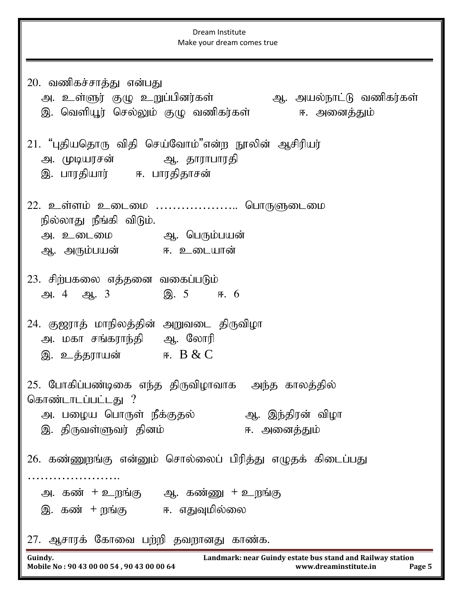Dream Institute Make your dream comes true **Guindy. Landmark: near Guindy estate bus stand and Railway station Mobile No : 90 43 00 00 54 , 90 43 00 00 64 www.dreaminstitute.in Page 5** 20. வணிகச்சாத்து என்பது அ. உள்ளுர் குழு உறுப்பினர்கள் ஆ. அயல்நாட்டு வணிகர்கள் இ. வெளியூர் செல்லும் குழு வணிகர்கள் ஈ. அனைத்தும் 21. "புதியதொரு விதி செய்வோம்"என்ற நூலின் ஆசிரியர் அ. முடியரசன் ஆ. தாராபாரதி இ. பாரதியார் ஈ. பாரதிதாசன் 22. உள்ளம் உடைமை …………………. பொருளுடைமை நில்லாது நீங்கி விடும். m. cilik M. ngUk;gad; ஆ. அரும்பயன் ஈ. உடையான் 23. சிற்பகலை எத்தனை வகைப்படும்  $\mathfrak{B}$ . 4  $\mathfrak{B}$ , 3  $\mathfrak{B}$ , 5 F. 6 24. குஜராத் மாநிலத்தின் அறுவடை திருவிழா அ. மகா சங்கராந்தி ஆ. லோரி இ. உத்தராயன் $B & C$ 25. போகிப்பண்டிகை எந்த திருவிழாவாக அந்த காலத்தில் கொண்டாடப்பட்டது ? m. gioa nghUs; ePf;Fjy; M. ,e;jpud; tpoh ,. jpUts;Stu; jpdk; <. midj;Jk; 26. கண்ணுறங்கு என்னும் சொல்லைப் பிரித்து எழுதக் கிடைப்பது …………………. அ. கண் $+$  உறங்கு ஆ. கண்ணு  $+$  உறங்கு இ. கண் + றங்கு ஈ. எதுவுமில்லை 27. ஆசாரக் கோவை பற்றி தவறானது காண்க.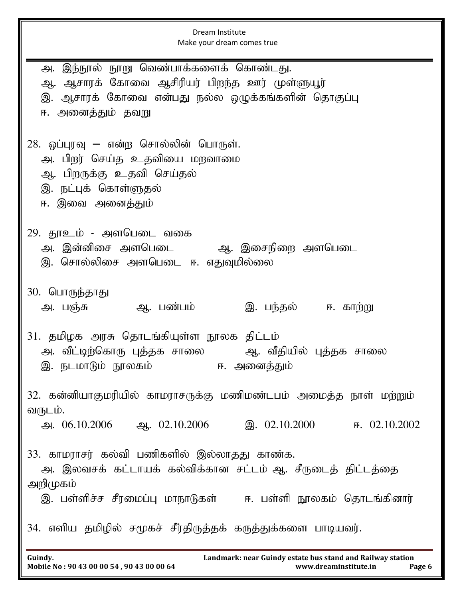| Dream Institute<br>Make your dream comes true                                                                                                                     |  |  |  |  |  |  |  |
|-------------------------------------------------------------------------------------------------------------------------------------------------------------------|--|--|--|--|--|--|--|
| அ. இந்நூல் நூறு வெண்பாக்களைக் கொண்டது.<br>ஆ. ஆசாரக் கோவை ஆசிரியர் பிறந்த ஊர் முள்ளுயூர்<br>இ. ஆசாரக் கோவை என்பது நல்ல ஒழுக்கங்களின் தொகுப்பு<br>ஈ. அனைத்தும் தவறு |  |  |  |  |  |  |  |
| 28. ஒப்புரவு — என்ற சொல்லின் பொருள்.<br>அ. பிறர் செய்த உதவியை மறவாமை<br>ஆ. பிறருக்கு உதவி செய்தல்<br>இ. நட்புக் கொள்ளுதல்<br>ஈ. இவை அனைத்தும்                     |  |  |  |  |  |  |  |
| 29. தூஉம் - அளபெடை வகை<br>அ. இன்னிசை அளபெடை       ஆ. இசைநிறை அளபெடை<br>இ. சொல்லிசை அளபெடை ஈ. எதுவுமில்லை                                                          |  |  |  |  |  |  |  |
| 30. பொருந்தாது<br>இ. பந்தல் ஈ. காற்று<br>அ. பஞ்சு<br>ஆ. பண்பம்                                                                                                    |  |  |  |  |  |  |  |
| 31. தமிழக அரசு தொடங்கியுள்ள நூலக திட்டம்<br>அ. வீட்டிற்கொரு புத்தக சாலை<br>ஆ. வீதியில் புத்தக சாலை<br>இ. நடமாடும் நூலகம்<br>ஈ. அனைத்தும்                          |  |  |  |  |  |  |  |
| 32. கன்னியாகுமரியில் காமராசருக்கு மணிமண்டபம் அமைத்த நாள் மற்றும்<br>வருடம்.                                                                                       |  |  |  |  |  |  |  |
| அ. 06.10.2006 ஆ. 02.10.2006 இ. 02.10.2000 ஈ. 02.10.2002                                                                                                           |  |  |  |  |  |  |  |
| 33. காமராசர் கல்வி பணிகளில் இல்லாதது காண்க.<br>அ. இலவசக் கட்டாயக் கல்விக்கான சட்டம் ஆ. சீருடைத் திட்டத்தை<br>அறிமுகம்                                             |  |  |  |  |  |  |  |
| இ. பள்ளிச்ச சீரமைப்பு மாநாடுகள்     ஈ. பள்ளி நூலகம் தொடங்கினார்                                                                                                   |  |  |  |  |  |  |  |
| 34. எளிய தமிழில் சமூகச் சீர்திருத்தக் கருத்துக்களை பாடியவர்.                                                                                                      |  |  |  |  |  |  |  |
| Guindy.<br>Landmark: near Guindy estate bus stand and Railway station<br>Mobile No: 90 43 00 00 54, 90 43 00 00 64<br>www.dreaminstitute.in<br>Page 6             |  |  |  |  |  |  |  |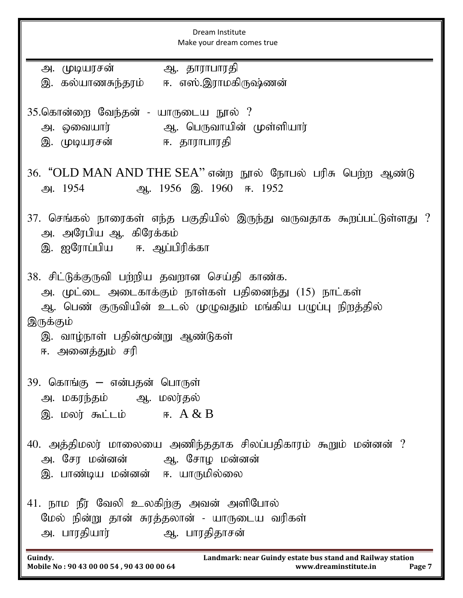| Dream Institute<br>Make your dream comes true                                                                                                                                                                                            |  |  |  |  |  |  |  |
|------------------------------------------------------------------------------------------------------------------------------------------------------------------------------------------------------------------------------------------|--|--|--|--|--|--|--|
| அ. முடியரசன்<br>ஆ. தாராபாரதி<br>இ. கல்யாணசுந்தரம் ஈ. எஸ்.இராமகிருஷ்ணன்                                                                                                                                                                   |  |  |  |  |  |  |  |
| 35.கொன்றை வேந்தன் - யாருடைய நூல் ?<br>இ. முடியரசன்                ஈ. தாராபாரதி                                                                                                                                                           |  |  |  |  |  |  |  |
| 36. "OLD MAN AND THE SEA" என்ற நூல் நோபல் பரிசு பெற்ற ஆண்டு<br>9.1954<br>ஆ. 1956 இ. 1960 ஈ. 1952                                                                                                                                         |  |  |  |  |  |  |  |
| 37. செங்கல் நாரைகள் எந்த பகுதியில் இருந்து வருவதாக கூறப்பட்டுள்ளது ?<br>அ. அரேபிய ஆ. கிரேக்கம்<br>இ. ஐரோப்பிய   ஈ. ஆப்பிரிக்கா                                                                                                           |  |  |  |  |  |  |  |
| 38. சிட்டுக்குருவி பற்றிய தவறான செய்தி காண்க.<br>அ. முட்டை அடைகாக்கும் நாள்கள் பதினைந்து (15) நாட்கள்<br>ஆ. பெண் குருவியின் உடல் முழுவதும் மங்கிய பழுப்பு நிறத்தில்<br>இருக்கும்<br>இ. வாழ்நாள் பதின்மூன்று ஆண்டுகள்<br>ஈ. அனைத்தும் சரி |  |  |  |  |  |  |  |
| 39. கொங்கு – என்பதன் பொருள்<br>அ. மகரந்தம் ஆ. மலர்தல்<br>$\mathcal{B}$ . மலர் கூட்டம் ஈ. $A & B$                                                                                                                                         |  |  |  |  |  |  |  |
| 40. அத்திமலர் மாலையை அணிந்ததாக சிலப்பதிகாரம் கூறும் மன்னன் ?<br>அ. சேர மன்னன்       ஆ. சோழ மன்னன்<br>இ. பாண்டிய மன்னன் ஈ. யாருமில்லை                                                                                                     |  |  |  |  |  |  |  |
| 41. நாம நீர் வேலி உலகிற்கு அவன் அளிபோல்<br>மேல் நின்று தான் சுரத்தலான் - யாருடைய வரிகள்                                                                                                                                                  |  |  |  |  |  |  |  |
| Landmark: near Guindy estate bus stand and Railway station<br>Guindy.<br>Mobile No: 90 43 00 00 54, 90 43 00 00 64<br>www.dreaminstitute.in<br>Page 7                                                                                    |  |  |  |  |  |  |  |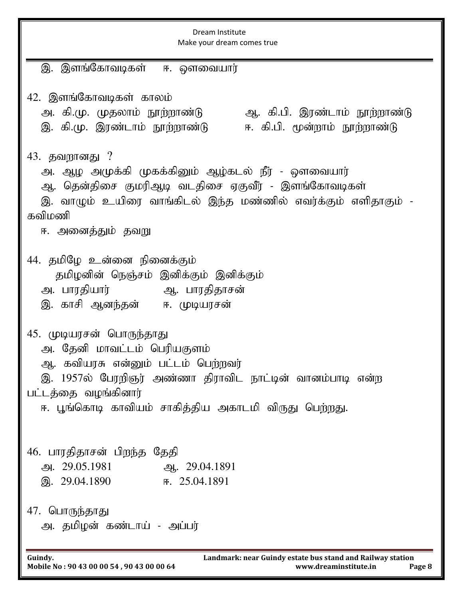| Dream Institute<br>Make your dream comes true                                                                                                                                                                                            |  |  |  |  |  |  |  |
|------------------------------------------------------------------------------------------------------------------------------------------------------------------------------------------------------------------------------------------|--|--|--|--|--|--|--|
| இ. இளங்கோவடிகள் ஈ. ஔவையார்                                                                                                                                                                                                               |  |  |  |  |  |  |  |
| 42. இளங்கோவடிகள் காலம்<br>அ. கி.மு. முதலாம் நூற்றாண்டு<br>ஆ. கி.பி. இரண்டாம் நூற்றாண்டு<br>ஈ. கி.பி. மூன்றாம் நூற்றாண்டு<br>இ. கி.மு. இரண்டாம் நூற்றாண்டு                                                                                |  |  |  |  |  |  |  |
| 43. தவறானது ?<br>அ. ஆழ அமுக்கி முகக்கினும் ஆழ்கடல் நீர் - ஔவையார்<br>ஆ. தென்திசை குமரிஆடி வடதிசை ஏகுவீர் - இளங்கோவடிகள்<br>இ. வாழும் உயிரை வாங்கிடல் இந்த மண்ணில் எவர்க்கும் எளிதாகும் -<br>கவிமணி<br>ஈ. அனைத்தும் தவறு                  |  |  |  |  |  |  |  |
| 44. தமிழே உன்னை நினைக்கும்<br>தமிழனின் நெஞ்சம் இனிக்கும் இனிக்கும்<br>அ. பாரதியார்             ஆ. பாரதிதாசன்<br>இ. காசி ஆனந்தன் ஈ. முடியரசன்                                                                                             |  |  |  |  |  |  |  |
| 45. முடியரசன் பொருந்தாது<br>அ. தேனி மாவட்டம் பெரியகுளம்<br>ஆ. கவியரசு என்னும் பட்டம் பெற்றவர்<br>இ. 1957ல் பேரறிஞர் அண்ணா திராவிட நாட்டின் வானம்பாடி என்ற<br>பட்டத்தை வழங்கினார்<br>ஈ. பூங்கொடி காவியம் சாகித்திய அகாடமி விருது பெற்றது. |  |  |  |  |  |  |  |
| 46. பாரதிதாசன் பிறந்த தேதி<br>அ. 29.05.1981<br>ஆ. 29.04.1891<br>இ. 29.04.1890<br>F. 25.04.1891                                                                                                                                           |  |  |  |  |  |  |  |
| 47. பொருந்தாது<br>அ. தமிழன் கண்டாய் - அப்பர்                                                                                                                                                                                             |  |  |  |  |  |  |  |
| Landmark: near Guindy estate bus stand and Railway station<br>Guindy.<br>Mobile No: 90 43 00 00 54, 90 43 00 00 64<br>www.dreaminstitute.in<br>Page 8                                                                                    |  |  |  |  |  |  |  |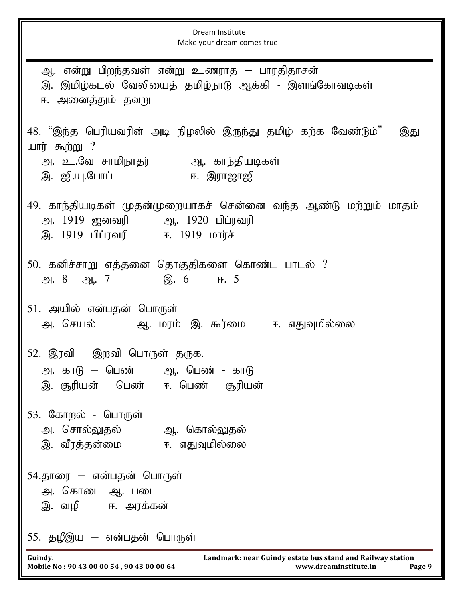Dream Institute Make your dream comes true **Guindy. Landmark: near Guindy estate bus stand and Railway station Mobile No : 90 43 00 00 54 , 90 43 00 00 64 www.dreaminstitute.in Page 9** ஆ. என்று பிறந்தவள் என்று உணராத – பாரதிதாசன் இ. இமிழ்கடல் வேலியைத் தமிழ்நாடு ஆக்கி - இளங்கோவடிகள் ஈ. அனைத்தும் தவறு 48. "இந்த பெரியவரின் அடி நிழலில் இருந்து தமிழ் கற்க வேண்டும்" - இது யார் கூற்று  $?$ அ. உ.வே சாமிநாதர் ஆ. காந்தியடிகள் ,. [p.A.Nghg; <. ,uh[h[p 49. காந்தியடிகள் முதன்முறையாகச் சென்னை வந்த ஆண்டு மற்றும் மாதம் அ. 1919 ஜனவரி ஆ. 1920 பிப்ரவரி இ. 1919 பிப்ரவரி ஈ. 1919 மார்ச் 50. கனிச்சாறு எத்தனை தொகுதிகளை கொண்ட பாடல் ?  $\mathfrak{B}. 8 \quad \mathfrak{B}. 7 \quad \mathfrak{B}. 6 \quad \mathfrak{F}. 5$ 51. அயில் என்பதன் பொருள் m. nray; M. kuk; ,. \$u;ik <. vJTkpy;iy 52. இரவி - இறவி பொருள் தருக. அ. கா $\beta$  – பெண் – ஆ. பெண் - கா $\beta$ இ. சூரியன் - பெண் ஈ. பெண் - சூரியன் 53. கோறல் - பொருள் அ. சொல்லுதல் <sup>ஆ. தொல்லுதல்</sup> .<br>இ. வீரத்தன்மை ஈ. எதுவுமில்லை 54.தாரை – என்பதன் பொருள் அ. கொடை ஆ. படை இ. வழி ஈ. அரக்கன் 55. தழீஇய – என்பதன் பொருள்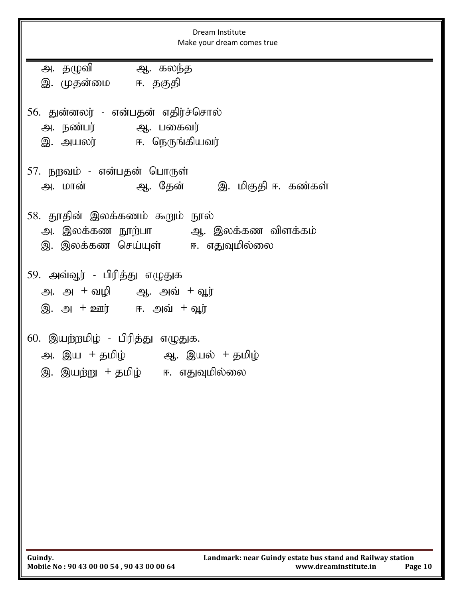| Dream Institute<br>Make your dream comes true                                                                         |  |  |  |  |  |  |  |  |
|-----------------------------------------------------------------------------------------------------------------------|--|--|--|--|--|--|--|--|
| அ. தழுவி         ஆ. கலந்த<br>இ. முதன்மை   ஈ. தகுதி                                                                    |  |  |  |  |  |  |  |  |
| 56. துன்னலர் - என்பதன் எதிர்ச்சொல்<br>அ. நண்பர்         ஆ. பகைவர்<br>இ. அயலர்   ஈ. நெருங்கியவர்                       |  |  |  |  |  |  |  |  |
| 57. நறவம் - என்பதன் பொருள்<br>அ. மான்               ஆ. தேன்         இ. மிகுதி ஈ. கண்கள்                               |  |  |  |  |  |  |  |  |
| 58. தூதின் இலக்கணம் கூறும் நூல்<br>அ. இலக்கண நூற்பா       ஆ. இலக்கண விளக்கம்<br>இ. இலக்கண செய்யுள்     ஈ. எதுவுமில்லை |  |  |  |  |  |  |  |  |
| 59. அவ்வூர் - பிரித்து எழுதுக<br>அ. அ + வழி ஆ. அவ் + வூர்<br>இ. அ $+$ ஊர் ஈ. அவ் $+$ வூர்                             |  |  |  |  |  |  |  |  |
| 60. இயற்றமிழ் - பிரித்து எழுதுக.<br>அ. இய + தமிழ்         ஆ. இயல்  + தமிழ்<br>இ. இயற்று  + தமிழ்<br>ஈ. எதுவுமில்லை    |  |  |  |  |  |  |  |  |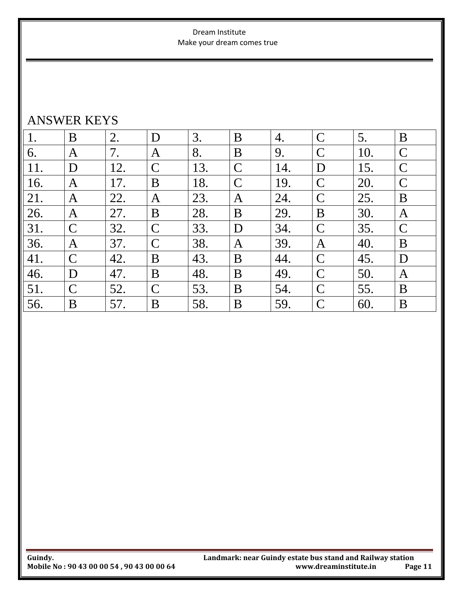#### Dream Institute Make your dream comes true

### ANSWER KEYS

| 1.  | B             | 2.  | D             | 3.  | B             | 4.  | $\mathsf{C}$  | 5.  | B             |
|-----|---------------|-----|---------------|-----|---------------|-----|---------------|-----|---------------|
| 6.  | A             | 7.  | A             | 8.  | B             | 9.  | $\mathcal{C}$ | 10. | $\mathcal{C}$ |
| 11. | D             | 12. | $\mathcal{C}$ | 13. | $\mathcal{C}$ | 14. | D             | 15. | $\mathcal{C}$ |
| 16. | A             | 17. | B             | 18. | $\mathcal{C}$ | 19. | $\mathcal{C}$ | 20. | $\mathcal{C}$ |
| 21. | A             | 22. | A             | 23. | A             | 24. | $\mathsf{C}$  | 25. | B             |
| 26. | A             | 27. | B             | 28. | B             | 29. | B             | 30. | A             |
| 31. | $\mathsf{C}$  | 32. | $\mathcal{C}$ | 33. | D             | 34. | $\mathsf{C}$  | 35. | $\mathsf{C}$  |
| 36. | A             | 37. | $\mathcal{C}$ | 38. | A             | 39. | A             | 40. | B             |
| 41. | $\mathcal{C}$ | 42. | B             | 43. | B             | 44. | $\mathsf{C}$  | 45. | D             |
| 46. | D             | 47. | B             | 48. | B             | 49. | $\mathsf{C}$  | 50. | A             |
| 51. | $\mathcal{C}$ | 52. | C             | 53. | B             | 54. | $\mathsf{C}$  | 55. | B             |
| 56. | B             | 57. | B             | 58. | B             | 59. | C             | 60. | B             |